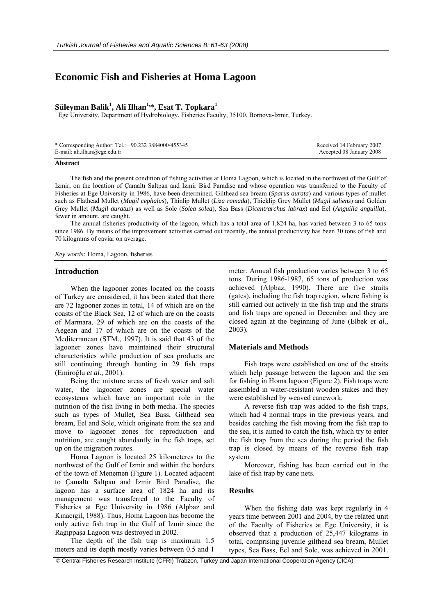# **Economic Fish and Fisheries at Homa Lagoon**

## **Süleyman Balik<sup>1</sup> , Ali Ilhan1,\*, Esat T. Topkara1**

<sup>1</sup> Ege University, Department of Hydrobiology, Fisheries Faculty, 35100, Bornova-Izmir, Turkey.

| * Corresponding Author: Tel.: +90.232 3884000/455345 | Received 14 February 2007 |
|------------------------------------------------------|---------------------------|
| E-mail: ali.ilhan@ege.edu.tr                         | Accepted 08 January 2008  |

#### **Abstract**

The fish and the present condition of fishing activities at Homa Lagoon, which is located in the northwest of the Gulf of Izmir, on the location of Çamaltı Saltpan and Izmir Bird Paradise and whose operation was transferred to the Faculty of Fisheries at Ege University in 1986, have been determined. Gilthead sea bream (*Sparus aurata*) and various types of mullet such as Flathead Mullet (*Mugil cephalus*), Thinlip Mullet (*Liza ramada*), Thicklip Grey Mullet (*Mugil saliens*) and Golden Grey Mullet (*Mugil auratus*) as well as Sole (*Solea solea*), Sea Bass (*Dicentrarchus labrax*) and Eel (*Anguilla anguilla*), fewer in amount, are caught.

The annual fisheries productivity of the lagoon, which has a total area of 1,824 ha, has varied between 3 to 65 tons since 1986. By means of the improvement activities carried out recently, the annual productivity has been 30 tons of fish and 70 kilograms of caviar on average.

*Key words:* Homa, Lagoon, fisheries

#### **Introduction**

When the lagooner zones located on the coasts of Turkey are considered, it has been stated that there are 72 lagooner zones in total, 14 of which are on the coasts of the Black Sea, 12 of which are on the coasts of Marmara, 29 of which are on the coasts of the Aegean and 17 of which are on the coasts of the Mediterranean (STM., 1997). It is said that 43 of the lagooner zones have maintained their structural characteristics while production of sea products are still continuing through hunting in 29 fish traps (Emiroğlu *et al*., 2001).

Being the mixture areas of fresh water and salt water, the lagooner zones are special water ecosystems which have an important role in the nutrition of the fish living in both media. The species such as types of Mullet, Sea Bass, Gilthead sea bream, Eel and Sole, which originate from the sea and move to lagooner zones for reproduction and nutrition, are caught abundantly in the fish traps, set up on the migration routes.

Homa Lagoon is located 25 kilometeres to the northwest of the Gulf of Izmir and within the borders of the town of Menemen (Figure 1). Located adjacent to Çamaltı Saltpan and Izmir Bird Paradise, the lagoon has a surface area of 1824 ha and its management was transferred to the Faculty of Fisheries at Ege University in 1986 (Alpbaz and Kınacıgil, 1988). Thus, Homa Lagoon has become the only active fish trap in the Gulf of Izmir since the Ragıppaşa Lagoon was destroyed in 2002.

The depth of the fish trap is maximum 1.5 meters and its depth mostly varies between 0.5 and 1 meter. Annual fish production varies between 3 to 65 tons. During 1986-1987, 65 tons of production was achieved (Alpbaz, 1990). There are five straits (gates), including the fish trap region, where fishing is still carried out actively in the fish trap and the straits and fish traps are opened in December and they are closed again at the beginning of June (Elbek *et al*., 2003).

### **Materials and Methods**

Fish traps were established on one of the straits which help passage between the lagoon and the sea for fishing in Homa lagoon (Figure 2). Fish traps were assembled in water-resistant wooden stakes and they were established by weaved canework.

A reverse fish trap was added to the fish traps, which had 4 normal traps in the previous years, and besides catching the fish moving from the fish trap to the sea, it is aimed to catch the fish, which try to enter the fish trap from the sea during the period the fish trap is closed by means of the reverse fish trap system.

Moreover, fishing has been carried out in the lake of fish trap by cane nets.

## **Results**

When the fishing data was kept regularly in 4 years time between 2001 and 2004, by the related unit of the Faculty of Fisheries at Ege University, it is observed that a production of 25,447 kilograms in total, comprising juvenile gilthead sea bream, Mullet types, Sea Bass, Eel and Sole, was achieved in 2001.

© Central Fisheries Research Institute (CFRI) Trabzon, Turkey and Japan International Cooperation Agency (JICA)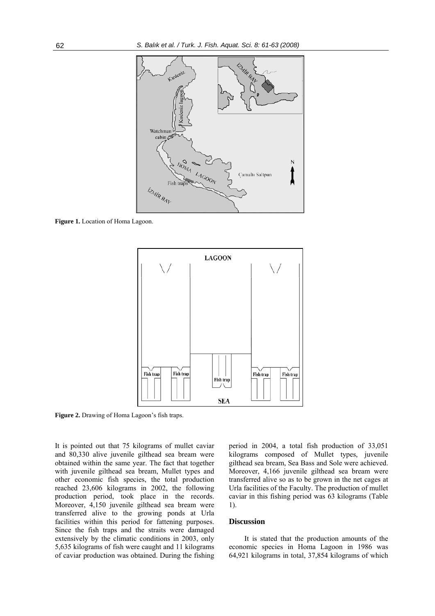

**Figure 1.** Location of Homa Lagoon.



**Figure 2.** Drawing of Homa Lagoon's fish traps.

It is pointed out that 75 kilograms of mullet caviar and 80,330 alive juvenile gilthead sea bream were obtained within the same year. The fact that together with juvenile gilthead sea bream, Mullet types and other economic fish species, the total production reached 23,606 kilograms in 2002, the following production period, took place in the records. Moreover, 4,150 juvenile gilthead sea bream were transferred alive to the growing ponds at Urla facilities within this period for fattening purposes. Since the fish traps and the straits were damaged extensively by the climatic conditions in 2003, only 5,635 kilograms of fish were caught and 11 kilograms of caviar production was obtained. During the fishing period in 2004, a total fish production of 33,051 kilograms composed of Mullet types, juvenile gilthead sea bream, Sea Bass and Sole were achieved. Moreover, 4,166 juvenile gilthead sea bream were transferred alive so as to be grown in the net cages at Urla facilities of the Faculty. The production of mullet caviar in this fishing period was 63 kilograms (Table 1).

#### **Discussion**

It is stated that the production amounts of the economic species in Homa Lagoon in 1986 was 64,921 kilograms in total, 37,854 kilograms of which